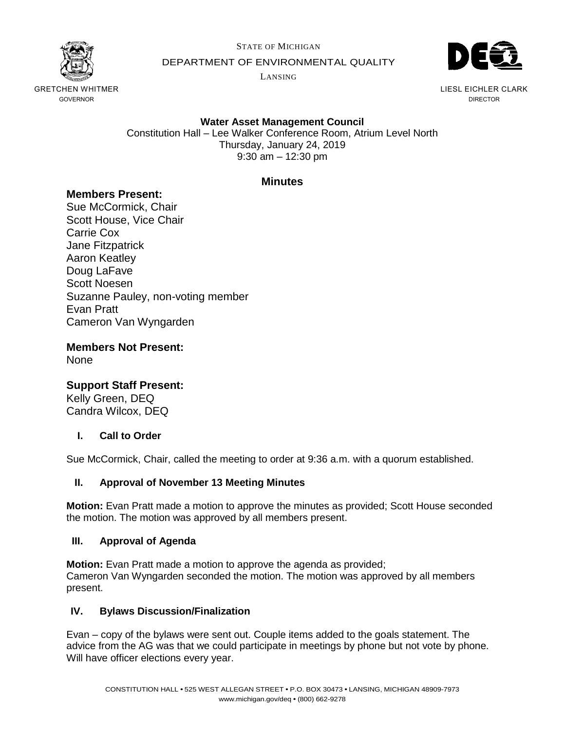

STATE OF MICHIGAN

DEPARTMENT OF ENVIRONMENTAL QUALITY

LANSING



LIESL EICHLER CLARK DIRECTOR

# **Water Asset Management Council**

Constitution Hall – Lee Walker Conference Room, Atrium Level North Thursday, January 24, 2019 9:30 am – 12:30 pm

# **Minutes**

# **Members Present:**

Sue McCormick, Chair Scott House, Vice Chair Carrie Cox Jane Fitzpatrick Aaron Keatley Doug LaFave Scott Noesen Suzanne Pauley, non-voting member Evan Pratt Cameron Van Wyngarden

**Members Not Present:** None

# **Support Staff Present:**

Kelly Green, DEQ Candra Wilcox, DEQ

## **I. Call to Order**

Sue McCormick, Chair, called the meeting to order at 9:36 a.m. with a quorum established.

## **II. Approval of November 13 Meeting Minutes**

**Motion:** Evan Pratt made a motion to approve the minutes as provided; Scott House seconded the motion. The motion was approved by all members present.

## **III. Approval of Agenda**

**Motion:** Evan Pratt made a motion to approve the agenda as provided; Cameron Van Wyngarden seconded the motion. The motion was approved by all members present.

## **IV. Bylaws Discussion/Finalization**

Evan – copy of the bylaws were sent out. Couple items added to the goals statement. The advice from the AG was that we could participate in meetings by phone but not vote by phone. Will have officer elections every year.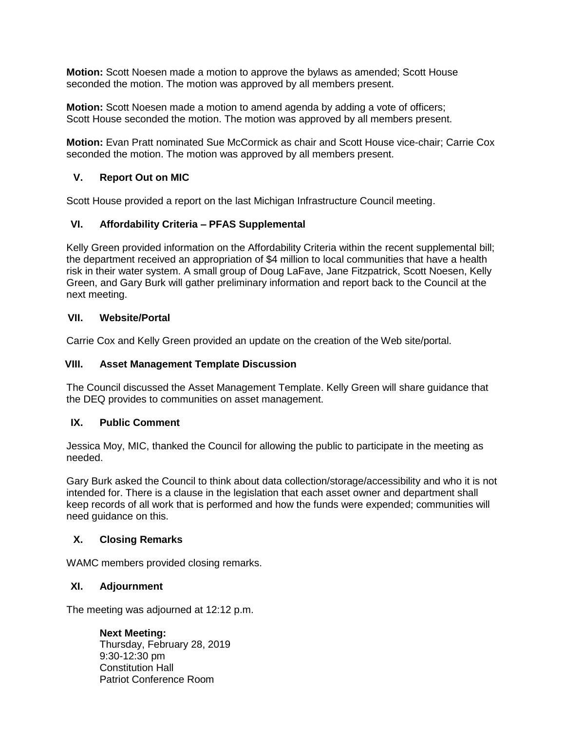**Motion:** Scott Noesen made a motion to approve the bylaws as amended; Scott House seconded the motion. The motion was approved by all members present.

**Motion:** Scott Noesen made a motion to amend agenda by adding a vote of officers; Scott House seconded the motion. The motion was approved by all members present.

**Motion:** Evan Pratt nominated Sue McCormick as chair and Scott House vice-chair; Carrie Cox seconded the motion. The motion was approved by all members present.

## **V. Report Out on MIC**

Scott House provided a report on the last Michigan Infrastructure Council meeting.

# **VI. Affordability Criteria – PFAS Supplemental**

Kelly Green provided information on the Affordability Criteria within the recent supplemental bill; the department received an appropriation of \$4 million to local communities that have a health risk in their water system. A small group of Doug LaFave, Jane Fitzpatrick, Scott Noesen, Kelly Green, and Gary Burk will gather preliminary information and report back to the Council at the next meeting.

## **VII. Website/Portal**

Carrie Cox and Kelly Green provided an update on the creation of the Web site/portal.

## **VIII. Asset Management Template Discussion**

The Council discussed the Asset Management Template. Kelly Green will share guidance that the DEQ provides to communities on asset management.

## **IX. Public Comment**

Jessica Moy, MIC, thanked the Council for allowing the public to participate in the meeting as needed.

Gary Burk asked the Council to think about data collection/storage/accessibility and who it is not intended for. There is a clause in the legislation that each asset owner and department shall keep records of all work that is performed and how the funds were expended; communities will need guidance on this.

## **X. Closing Remarks**

WAMC members provided closing remarks.

## **XI. Adjournment**

The meeting was adjourned at 12:12 p.m.

**Next Meeting:**  Thursday, February 28, 2019 9:30-12:30 pm Constitution Hall Patriot Conference Room